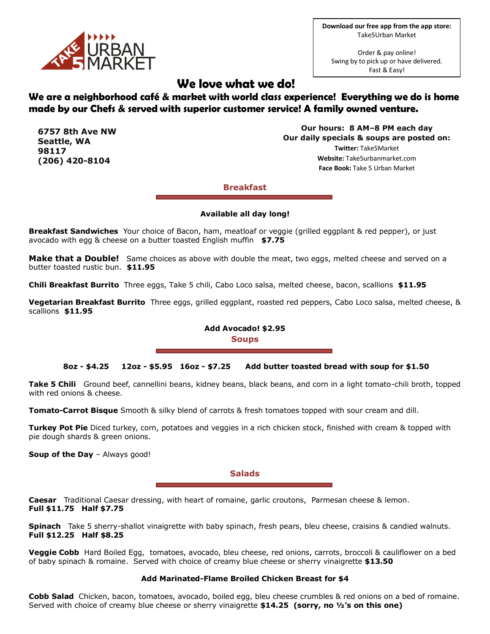

**Download our free app from the app store:** Take5Urban Market

Order & pay online! Swing by to pick up or have delivered. Fast & Easy!

# **We love what we do!**

# **We are a neighborhood café & market with world class experience! Everything we do is home made by our Chefs & served with superior customer service! A family owned venture.**

**6757 8th Ave NW Seattle, WA 98117 (206) 420-8104**

**Our hours: 8 AM–8 PM each day Our daily specials & soups are posted on: Twitter:** Take5Market **Website:** Take5urbanmarket.com **Face Book:** Take 5 Urban Market

**Breakfast**

#### **Available all day long!**

**Breakfast Sandwiches** Your choice of Bacon, ham, meatloaf or veggie (grilled eggplant & red pepper), or just avocado with egg & cheese on a butter toasted English muffin **\$7.75**

**Make that a Double!** Same choices as above with double the meat, two eggs, melted cheese and served on a butter toasted rustic bun. **\$11.95**

**Chili Breakfast Burrito** Three eggs, Take 5 chili, Cabo Loco salsa, melted cheese, bacon, scallions **\$11.95**

**Vegetarian Breakfast Burrito** Three eggs, grilled eggplant, roasted red peppers, Cabo Loco salsa, melted cheese, & scallions **\$11.95**

## **Add Avocado! \$2.95 Soups**

#### **8oz - \$4.25 12oz - \$5.95 16oz - \$7.25 Add butter toasted bread with soup for \$1.50**

**Take 5 Chili** Ground beef, cannellini beans, kidney beans, black beans, and corn in a light tomato-chili broth, topped with red onions & cheese.

**Tomato-Carrot Bisque** Smooth & silky blend of carrots & fresh tomatoes topped with sour cream and dill.

**Turkey Pot Pie** Diced turkey, corn, potatoes and veggies in a rich chicken stock, finished with cream & topped with pie dough shards & green onions.

**Soup of the Day** – Always good!

**Salads**

**Caesar** Traditional Caesar dressing, with heart of romaine, garlic croutons, Parmesan cheese & lemon. **Full \$11.75 Half \$7.75**

**Spinach** Take 5 sherry-shallot vinaigrette with baby spinach, fresh pears, bleu cheese, craisins & candied walnuts. **Full \$12.25 Half \$8.25**

**Veggie Cobb** Hard Boiled Egg, tomatoes, avocado, bleu cheese, red onions, carrots, broccoli & cauliflower on a bed of baby spinach & romaine. Served with choice of creamy blue cheese or sherry vinaigrette **\$13.50**

#### **Add Marinated-Flame Broiled Chicken Breast for \$4**

**Cobb Salad** Chicken, bacon, tomatoes, avocado, boiled egg, bleu cheese crumbles & red onions on a bed of romaine. Served with choice of creamy blue cheese or sherry vinaigrette **\$14.25 (sorry, no ½'s on this one)**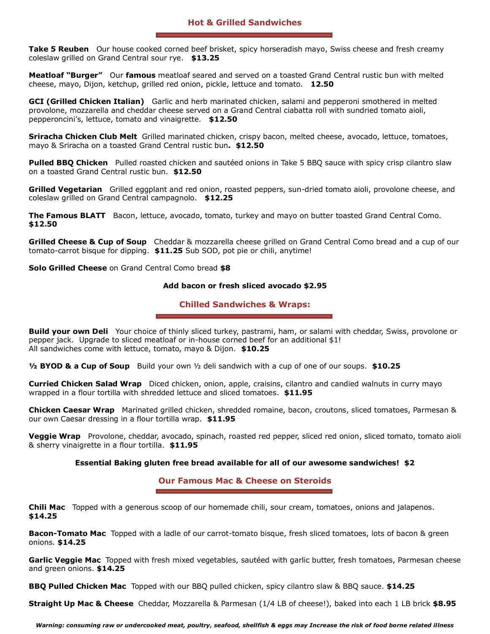**Take 5 Reuben** Our house cooked corned beef brisket, spicy horseradish mayo, Swiss cheese and fresh creamy coleslaw grilled on Grand Central sour rye. **\$13.25** 

**Meatloaf "Burger"** Our **famous** meatloaf seared and served on a toasted Grand Central rustic bun with melted cheese, mayo, Dijon, ketchup, grilled red onion, pickle, lettuce and tomato. **12.50**

**GCI (Grilled Chicken Italian)** Garlic and herb marinated chicken, salami and pepperoni smothered in melted provolone, mozzarella and cheddar cheese served on a Grand Central ciabatta roll with sundried tomato aioli, pepperoncini's, lettuce, tomato and vinaigrette. **\$12.50**

**Sriracha Chicken Club Melt** Grilled marinated chicken, crispy bacon, melted cheese, avocado, lettuce, tomatoes, mayo & Sriracha on a toasted Grand Central rustic bun**. \$12.50**

**Pulled BBQ Chicken** Pulled roasted chicken and sautéed onions in Take 5 BBQ sauce with spicy crisp cilantro slaw on a toasted Grand Central rustic bun. **\$12.50**

**Grilled Vegetarian** Grilled eggplant and red onion, roasted peppers, sun-dried tomato aioli, provolone cheese, and coleslaw grilled on Grand Central campagnolo. **\$12.25**

**The Famous BLATT** Bacon, lettuce, avocado, tomato, turkey and mayo on butter toasted Grand Central Como. **\$12.50**

**Grilled Cheese & Cup of Soup** Cheddar & mozzarella cheese grilled on Grand Central Como bread and a cup of our tomato-carrot bisque for dipping. **\$11.25** Sub SOD, pot pie or chili, anytime!

**Solo Grilled Cheese** on Grand Central Como bread **\$8**

#### **Add bacon or fresh sliced avocado \$2.95**

#### **Chilled Sandwiches & Wraps:**

**Build your own Deli** Your choice of thinly sliced turkey, pastrami, ham, or salami with cheddar, Swiss, provolone or pepper jack. Upgrade to sliced meatloaf or in-house corned beef for an additional \$1! All sandwiches come with lettuce, tomato, mayo & Dijon. **\$10.25**

**½ BYOD & a Cup of Soup** Build your own ½ deli sandwich with a cup of one of our soups. **\$10.25**

**Curried Chicken Salad Wrap** Diced chicken, onion, apple, craisins, cilantro and candied walnuts in curry mayo wrapped in a flour tortilla with shredded lettuce and sliced tomatoes. **\$11.95**

**Chicken Caesar Wrap** Marinated grilled chicken, shredded romaine, bacon, croutons, sliced tomatoes, Parmesan & our own Caesar dressing in a flour tortilla wrap. **\$11.95**

**Veggie Wrap** Provolone, cheddar, avocado, spinach, roasted red pepper, sliced red onion, sliced tomato, tomato aioli & sherry vinaigrette in a flour tortilla. **\$11.95**

#### **Essential Baking gluten free bread available for all of our awesome sandwiches! \$2**

### **Our Famous Mac & Cheese on Steroids**

**Chili Mac** Topped with a generous scoop of our homemade chili, sour cream, tomatoes, onions and jalapenos. **\$14.25**

**Bacon-Tomato Mac** Topped with a ladle of our carrot-tomato bisque, fresh sliced tomatoes, lots of bacon & green onions. **\$14.25**

**Garlic Veggie Mac** Topped with fresh mixed vegetables, sautéed with garlic butter, fresh tomatoes, Parmesan cheese and green onions. **\$14.25**

**BBQ Pulled Chicken Mac** Topped with our BBQ pulled chicken, spicy cilantro slaw & BBQ sauce. **\$14.25**

**Straight Up Mac & Cheese** Cheddar, Mozzarella & Parmesan (1/4 LB of cheese!), baked into each 1 LB brick **\$8.95**